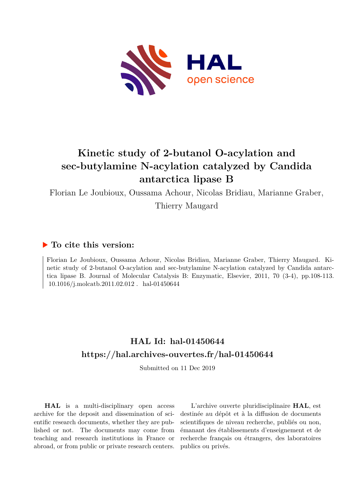

# **Kinetic study of 2-butanol O-acylation and sec-butylamine N-acylation catalyzed by Candida antarctica lipase B**

Florian Le Joubioux, Oussama Achour, Nicolas Bridiau, Marianne Graber,

Thierry Maugard

## **To cite this version:**

Florian Le Joubioux, Oussama Achour, Nicolas Bridiau, Marianne Graber, Thierry Maugard. Kinetic study of 2-butanol O-acylation and sec-butylamine N-acylation catalyzed by Candida antarctica lipase B. Journal of Molecular Catalysis B: Enzymatic, Elsevier, 2011, 70 (3-4), pp.108-113.  $10.1016$ /j.molcatb.2011.02.012. hal-01450644

# **HAL Id: hal-01450644 <https://hal.archives-ouvertes.fr/hal-01450644>**

Submitted on 11 Dec 2019

**HAL** is a multi-disciplinary open access archive for the deposit and dissemination of scientific research documents, whether they are published or not. The documents may come from teaching and research institutions in France or abroad, or from public or private research centers.

L'archive ouverte pluridisciplinaire **HAL**, est destinée au dépôt et à la diffusion de documents scientifiques de niveau recherche, publiés ou non, émanant des établissements d'enseignement et de recherche français ou étrangers, des laboratoires publics ou privés.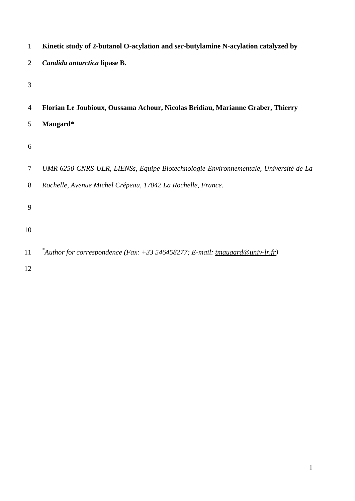| $\mathbf{1}$   | Kinetic study of 2-butanol O-acylation and sec-butylamine N-acylation catalyzed by               |
|----------------|--------------------------------------------------------------------------------------------------|
| 2              | Candida antarctica lipase B.                                                                     |
| 3              |                                                                                                  |
| $\overline{4}$ | Florian Le Joubioux, Oussama Achour, Nicolas Bridiau, Marianne Graber, Thierry                   |
| 5              | Maugard*                                                                                         |
| 6              |                                                                                                  |
| $\tau$         | UMR 6250 CNRS-ULR, LIENSs, Equipe Biotechnologie Environnementale, Université de La              |
| 8              | Rochelle, Avenue Michel Crépeau, 17042 La Rochelle, France.                                      |
| 9              |                                                                                                  |
| 10             |                                                                                                  |
| 11             | <sup>*</sup> Author for correspondence (Fax: +33 546458277; E-mail: <u>tmaugard@univ-lr.fr</u> ) |
| 12             |                                                                                                  |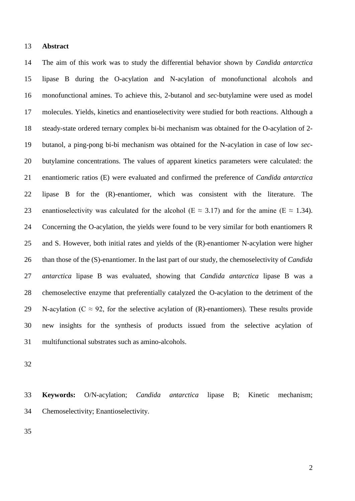#### **Abstract**

 The aim of this work was to study the differential behavior shown by *Candida antarctica*  lipase B during the O-acylation and N-acylation of monofunctional alcohols and monofunctional amines. To achieve this, 2-butanol and *sec*-butylamine were used as model molecules. Yields, kinetics and enantioselectivity were studied for both reactions. Although a steady-state ordered ternary complex bi-bi mechanism was obtained for the O-acylation of 2- butanol, a ping-pong bi-bi mechanism was obtained for the N-acylation in case of low *sec*- butylamine concentrations. The values of apparent kinetics parameters were calculated: the enantiomeric ratios (E) were evaluated and confirmed the preference of *Candida antarctica*  lipase B for the (R)-enantiomer, which was consistent with the literature. The 23 enantioselectivity was calculated for the alcohol (E  $\approx$  3.17) and for the amine (E  $\approx$  1.34). Concerning the O-acylation, the yields were found to be very similar for both enantiomers R and S. However, both initial rates and yields of the (R)-enantiomer N-acylation were higher than those of the (S)-enantiomer. In the last part of our study, the chemoselectivity of *Candida antarctica* lipase B was evaluated, showing that *Candida antarctica* lipase B was a chemoselective enzyme that preferentially catalyzed the O-acylation to the detriment of the 29 N-acylation ( $C \approx 92$ , for the selective acylation of (R)-enantiomers). These results provide new insights for the synthesis of products issued from the selective acylation of multifunctional substrates such as amino-alcohols.

 **Keywords:** O/N-acylation; *Candida antarctica* lipase B; Kinetic mechanism; Chemoselectivity; Enantioselectivity.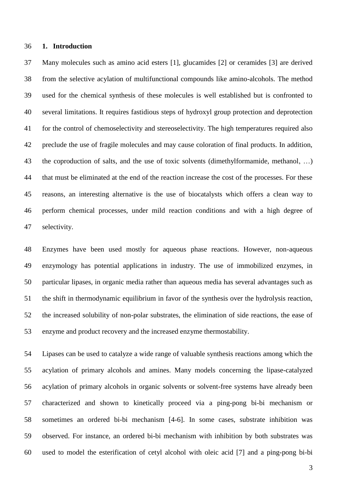#### **1. Introduction**

 Many molecules such as amino acid esters [1], glucamides [2] or ceramides [3] are derived from the selective acylation of multifunctional compounds like amino-alcohols. The method used for the chemical synthesis of these molecules is well established but is confronted to several limitations. It requires fastidious steps of hydroxyl group protection and deprotection for the control of chemoselectivity and stereoselectivity. The high temperatures required also preclude the use of fragile molecules and may cause coloration of final products. In addition, the coproduction of salts, and the use of toxic solvents (dimethylformamide, methanol, …) that must be eliminated at the end of the reaction increase the cost of the processes. For these reasons, an interesting alternative is the use of biocatalysts which offers a clean way to perform chemical processes, under mild reaction conditions and with a high degree of selectivity.

 Enzymes have been used mostly for aqueous phase reactions. However, non-aqueous enzymology has potential applications in industry. The use of immobilized enzymes, in particular lipases, in organic media rather than aqueous media has several advantages such as the shift in thermodynamic equilibrium in favor of the synthesis over the hydrolysis reaction, the increased solubility of non-polar substrates, the elimination of side reactions, the ease of enzyme and product recovery and the increased enzyme thermostability.

 Lipases can be used to catalyze a wide range of valuable synthesis reactions among which the acylation of primary alcohols and amines. Many models concerning the lipase-catalyzed acylation of primary alcohols in organic solvents or solvent-free systems have already been characterized and shown to kinetically proceed via a ping-pong bi-bi mechanism or sometimes an ordered bi-bi mechanism [4-6]. In some cases, substrate inhibition was observed. For instance, an ordered bi-bi mechanism with inhibition by both substrates was used to model the esterification of cetyl alcohol with oleic acid [7] and a ping-pong bi-bi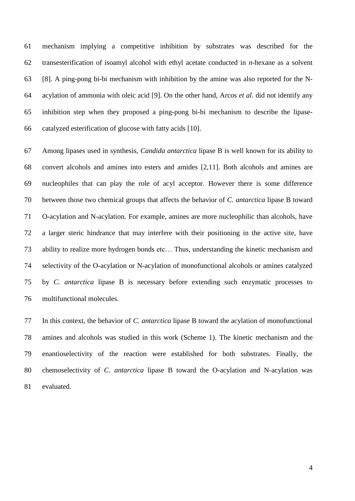mechanism implying a competitive inhibition by substrates was described for the transesterification of isoamyl alcohol with ethyl acetate conducted in *n*-hexane as a solvent [8]. A ping-pong bi-bi mechanism with inhibition by the amine was also reported for the N- acylation of ammonia with oleic acid [9]. On the other hand, Arcos *et al*. did not identify any inhibition step when they proposed a ping-pong bi-bi mechanism to describe the lipase-catalyzed esterification of glucose with fatty acids [10].

 Among lipases used in synthesis, *Candida antarctica* lipase B is well known for its ability to convert alcohols and amines into esters and amides [2,11]. Both alcohols and amines are nucleophiles that can play the role of acyl acceptor. However there is some difference between those two chemical groups that affects the behavior of *C. antarctica* lipase B toward O-acylation and N-acylation. For example, amines are more nucleophilic than alcohols, have a larger steric hindrance that may interfere with their positioning in the active site, have ability to realize more hydrogen bonds etc… Thus, understanding the kinetic mechanism and selectivity of the O-acylation or N-acylation of monofunctional alcohols or amines catalyzed by *C. antarctica* lipase B is necessary before extending such enzymatic processes to multifunctional molecules.

 In this context, the behavior of *C. antarctica* lipase B toward the acylation of monofunctional amines and alcohols was studied in this work (Scheme 1). The kinetic mechanism and the enantioselectivity of the reaction were established for both substrates. Finally, the chemoselectivity of *C. antarctica* lipase B toward the O-acylation and N-acylation was evaluated.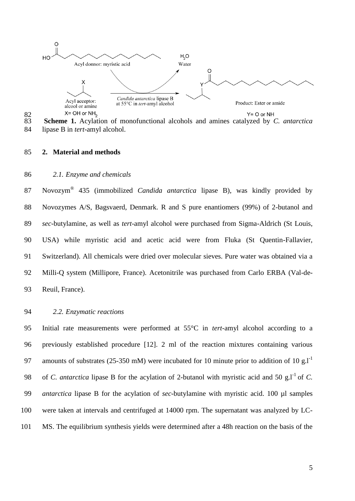



#### **2. Material and methods**

## *2.1. Enzyme and chemicals*

Novozym® 435 (immobilized *Candida antarctica* lipase B), was kindly provided by Novozymes A/S, Bagsvaerd, Denmark. R and S pure enantiomers (99%) of 2-butanol and *sec*-butylamine, as well as *tert*-amyl alcohol were purchased from Sigma-Aldrich (St Louis, USA) while myristic acid and acetic acid were from Fluka (St Quentin-Fallavier, Switzerland). All chemicals were dried over molecular sieves. Pure water was obtained via a Milli-Q system (Millipore, France). Acetonitrile was purchased from Carlo ERBA (Val-de-Reuil, France).

## *2.2. Enzymatic reactions*

 Initial rate measurements were performed at 55°C in *tert*-amyl alcohol according to a previously established procedure [12]. 2 ml of the reaction mixtures containing various 97 amounts of substrates (25-350 mM) were incubated for 10 minute prior to addition of 10 g.l<sup>-1</sup> 98 of *C. antarctica* lipase B for the acylation of 2-butanol with myristic acid and 50 g.l<sup>-1</sup> of *C. antarctica* lipase B for the acylation of *sec-*butylamine with myristic acid. 100 µl samples were taken at intervals and centrifuged at 14000 rpm. The supernatant was analyzed by LC-MS. The equilibrium synthesis yields were determined after a 48h reaction on the basis of the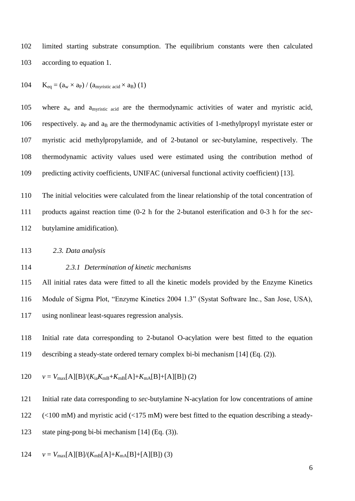limited starting substrate consumption. The equilibrium constants were then calculated according to equation 1.

104  $K_{eq} = (a_w \times a_P) / (a_{mvristic acid} \times a_B)$  (1)

105 where  $a_w$  and  $a<sub>mvristic acid</sub>$  are the thermodynamic activities of water and myristic acid, 106 respectively. ap and  $a_B$  are the thermodynamic activities of 1-methylpropyl myristate ester or myristic acid methylpropylamide, and of 2-butanol or *sec-*butylamine, respectively. The thermodynamic activity values used were estimated using the contribution method of predicting activity coefficients, UNIFAC (universal functional activity coefficient) [13].

 The initial velocities were calculated from the linear relationship of the total concentration of products against reaction time (0-2 h for the 2-butanol esterification and 0-3 h for the *sec*-butylamine amidification).

*2.3. Data analysis*

### *2.3.1 Determination of kinetic mechanisms*

 All initial rates data were fitted to all the kinetic models provided by the Enzyme Kinetics Module of Sigma Plot, "Enzyme Kinetics 2004 1.3" (Systat Software Inc., San Jose, USA), using nonlinear least-squares regression analysis.

 Initial rate data corresponding to 2-butanol O-acylation were best fitted to the equation describing a steady-state ordered ternary complex bi-bi mechanism [14] (Eq. (2)).

120 
$$
v = V_{\text{max}}[A][B]/(K_{ia}K_{mB}+K_{mB}[A]+K_{mA}[B]+[A][B])
$$
 (2)

Initial rate data corresponding to *sec*-butylamine N-acylation for low concentrations of amine

(<100 mM) and myristic acid (<175 mM) were best fitted to the equation describing a steady-

state ping-pong bi-bi mechanism [14] (Eq. (3)).

124 
$$
v = V_{\text{max}}[A][B]/(K_{\text{m}}[A]+K_{\text{m}}[B]+[A][B])
$$
 (3)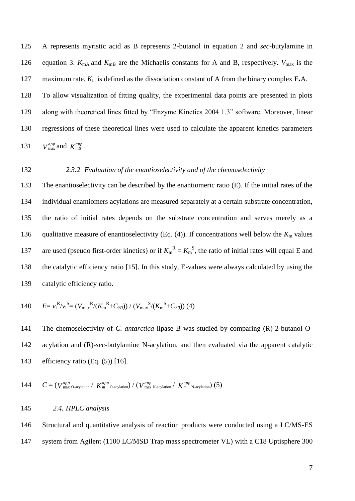A represents myristic acid as B represents 2-butanol in equation 2 and *sec*-butylamine in 126 equation 3.  $K_{\text{mA}}$  and  $K_{\text{mB}}$  are the Michaelis constants for A and B, respectively.  $V_{\text{max}}$  is the 127 maximum rate.  $K_{ia}$  is defined as the dissociation constant of A from the binary complex E.A. To allow visualization of fitting quality, the experimental data points are presented in plots along with theoretical lines fitted by "Enzyme Kinetics 2004 1.3" software. Moreover, linear regressions of these theoretical lines were used to calculate the apparent kinetics parameters  $V_{\text{max}}^{app}$  and  $K_{m}^{app}$ .

## 132 *2.3.2 Evaluation of the enantioselectivity and of the chemoselectivity*

 The enantioselectivity can be described by the enantiomeric ratio (E). If the initial rates of the individual enantiomers acylations are measured separately at a certain substrate concentration, the ratio of initial rates depends on the substrate concentration and serves merely as a 136 qualitative measure of enantioselectivity (Eq. (4)). If concentrations well below the  $K<sub>m</sub>$  values 137 are used (pseudo first-order kinetics) or if  $K_m^R = K_m^S$ , the ratio of initial rates will equal E and the catalytic efficiency ratio [15]. In this study, E-values were always calculated by using the catalytic efficiency ratio.

140 
$$
E = v_i^R/v_i^S = (V_{max}^R/(K_m^R + C_{SO})) / (V_{max}^S/(K_m^S + C_{SO}))
$$
 (4)

141 The chemoselectivity of *C. antarctica* lipase B was studied by comparing (R)-2-butanol O-142 acylation and (R)-*sec*-butylamine N-acylation, and then evaluated via the apparent catalytic 143 efficiency ratio (Eq. (5)) [16].

144 
$$
C = (V_{\text{max O-acylation}}^{app} / K_m^{app} \text{O-acylation}) / (V_{\text{max N-acylation}}^{app} / K_m^{app} \text{N-acylation}) (5)
$$

## 145 *2.4. HPLC analysis*

146 Structural and quantitative analysis of reaction products were conducted using a LC/MS-ES 147 system from Agilent (1100 LC/MSD Trap mass spectrometer VL) with a C18 Uptisphere 300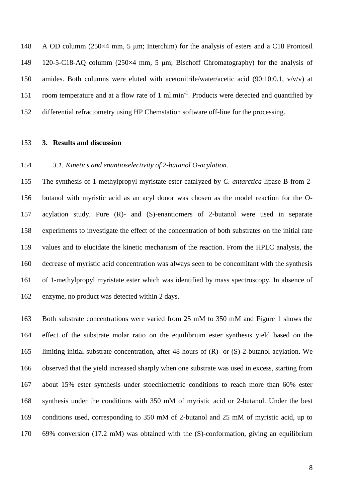A OD columm (250×4 mm, 5 μm; Interchim) for the analysis of esters and a C18 Prontosil 120-5-C18-AQ columm (250×4 mm, 5 μm; Bischoff Chromatography) for the analysis of amides. Both columns were eluted with acetonitrile/water/acetic acid (90:10:0.1, v/v/v) at 151 room temperature and at a flow rate of 1 ml.min<sup>-1</sup>. Products were detected and quantified by differential refractometry using HP Chemstation software off-line for the processing.

### **3. Results and discussion**

### *3.1. Kinetics and enantioselectivity of 2-butanol O-acylation.*

 The synthesis of 1-methylpropyl myristate ester catalyzed by *C. antarctica* lipase B from 2- butanol with myristic acid as an acyl donor was chosen as the model reaction for the O- acylation study. Pure (R)- and (S)-enantiomers of 2-butanol were used in separate experiments to investigate the effect of the concentration of both substrates on the initial rate values and to elucidate the kinetic mechanism of the reaction. From the HPLC analysis, the decrease of myristic acid concentration was always seen to be concomitant with the synthesis of 1-methylpropyl myristate ester which was identified by mass spectroscopy. In absence of enzyme, no product was detected within 2 days.

 Both substrate concentrations were varied from 25 mM to 350 mM and Figure 1 shows the effect of the substrate molar ratio on the equilibrium ester synthesis yield based on the limiting initial substrate concentration, after 48 hours of (R)- or (S)-2-butanol acylation. We observed that the yield increased sharply when one substrate was used in excess, starting from about 15% ester synthesis under stoechiometric conditions to reach more than 60% ester synthesis under the conditions with 350 mM of myristic acid or 2-butanol. Under the best conditions used, corresponding to 350 mM of 2-butanol and 25 mM of myristic acid, up to 69% conversion (17.2 mM) was obtained with the (S)-conformation, giving an equilibrium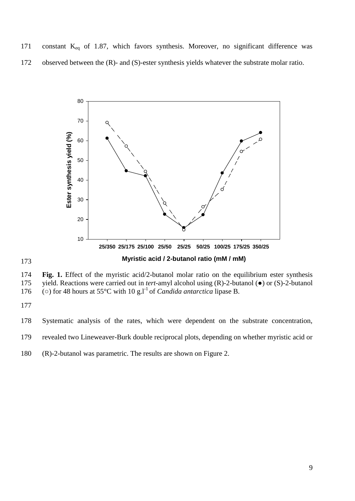171 constant  $K_{eq}$  of 1.87, which favors synthesis. Moreover, no significant difference was observed between the (R)- and (S)-ester synthesis yields whatever the substrate molar ratio.



 **Fig. 1.** Effect of the myristic acid/2-butanol molar ratio on the equilibrium ester synthesis yield. Reactions were carried out in *tert*-amyl alcohol using (R)-2-butanol (●) or (S)-2-butanol 176 ( $\circ$ ) for 48 hours at 55<sup>o</sup>C with 10 g.1<sup>-1</sup> of *Candida antarctica* lipase B.

Systematic analysis of the rates, which were dependent on the substrate concentration,

revealed two Lineweaver-Burk double reciprocal plots, depending on whether myristic acid or

(R)-2-butanol was parametric. The results are shown on Figure 2.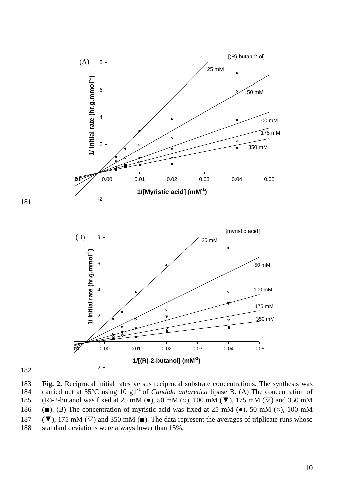



183 **Fig. 2.** Reciprocal initial rates versus reciprocal substrate concentrations. The synthesis was 184 carried out at 55°C using 10 g.l<sup>-1</sup> of *Candida antarctica* lipase B. (A) The concentration of 185 (R)-2-butanol was fixed at 25 mM ( $\bullet$ ), 50 mM ( $\circ$ ), 100 mM ( $\nabla$ ), 175 mM ( $\nabla$ ) and 350 mM 186 (■). (B) The concentration of myristic acid was fixed at 25 mM (●), 50 mM (○), 100 mM 187 ( $\nabla$ ), 175 mM ( $\nabla$ ) and 350 mM ( $\square$ ). The data represent the averages of triplicate runs whose 188 standard deviations were always lower than 15%.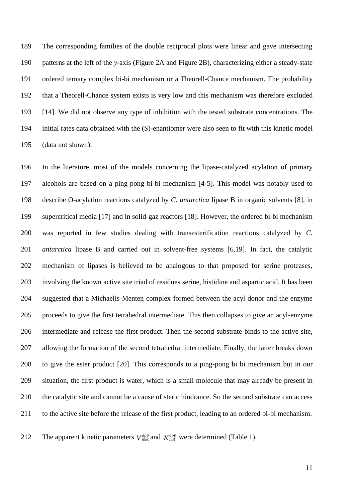The corresponding families of the double reciprocal plots were linear and gave intersecting patterns at the left of the *y*-axis (Figure 2A and Figure 2B), characterizing either a steady-state ordered ternary complex bi-bi mechanism or a Theorell-Chance mechanism. The probability that a Theorell-Chance system exists is very low and this mechanism was therefore excluded [14]. We did not observe any type of inhibition with the tested substrate concentrations. The initial rates data obtained with the (S)-enantiomer were also seen to fit with this kinetic model (data not shown).

 In the literature, most of the models concerning the lipase-catalyzed acylation of primary alcohols are based on a ping-pong bi-bi mechanism [4-5]. This model was notably used to describe O-acylation reactions catalyzed by *C. antarctica* lipase B in organic solvents [8], in supercritical media [17] and in solid-gaz reactors [18]. However, the ordered bi-bi mechanism was reported in few studies dealing with transesterification reactions catalyzed by *C. antarctica* lipase B and carried out in solvent-free systems [6,19]. In fact, the catalytic mechanism of lipases is believed to be analogous to that proposed for serine proteases, involving the known active site triad of residues serine, histidine and aspartic acid. It has been suggested that a Michaelis-Menten complex formed between the acyl donor and the enzyme proceeds to give the first tetrahedral intermediate. This then collapses to give an acyl-enzyme intermediate and release the first product. Then the second substrate binds to the active site, allowing the formation of the second tetrahedral intermediate. Finally, the latter breaks down to give the ester product [20]. This corresponds to a ping-pong bi bi mechanism but in our situation, the first product is water, which is a small molecule that may already be present in the catalytic site and cannot be a cause of steric hindrance. So the second substrate can access to the active site before the release of the first product, leading to an ordered bi-bi mechanism.

The apparent kinetic parameters  $V_{\text{max}}^{app}$  and  $K_{mB}^{app}$  were determined (Table 1).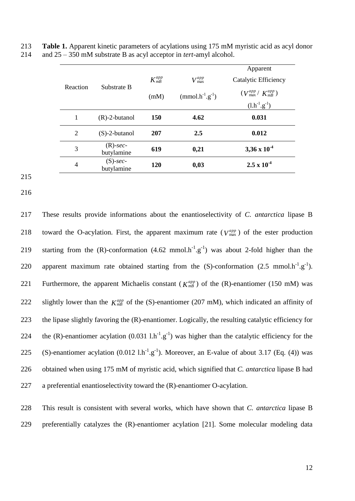|          |                           |               |                        | Apparent                               |
|----------|---------------------------|---------------|------------------------|----------------------------------------|
|          | Substrate B               | $K^{app}_{m}$ | $V_{\text{max}}^{app}$ | Catalytic Efficiency                   |
| Reaction |                           | (mM)          | $(mmol.h^{-1}.g^{-1})$ | $(V_{\text{max}}^{app} / K_{m}^{app})$ |
|          |                           |               |                        | $(l.h^{-1}.g^{-1})$                    |
| 1        | $(R)$ -2-butanol          | <b>150</b>    | 4.62                   | 0.031                                  |
| 2        | $(S)-2$ -butanol          | 207           | 2.5                    | 0.012                                  |
| 3        | $(R)$ -sec-<br>butylamine | 619           | 0,21                   | 3,36 x $10^{-4}$                       |
| 4        | $(S)$ -sec-<br>butylamine | 120           | 0,03                   | $2.5 \times 10^{-4}$                   |

213 **Table 1.** Apparent kinetic parameters of acylations using 175 mM myristic acid as acyl donor 214 and 25 – 350 mM substrate B as acyl acceptor in *tert*-amyl alcohol.

215

216

217 These results provide informations about the enantioselectivity of *C. antarctica* lipase B 218 toward the O-acylation. First, the apparent maximum rate  $(V_{\text{max}}^{app})$  of the ester production 219 starting from the (R)-conformation  $(4.62 \text{ mmol.h}^{-1} \text{g}^{-1})$  was about 2-fold higher than the 220 apparent maximum rate obtained starting from the  $(S)$ -conformation  $(2.5 \text{ mmol.h}^{-1}.g^{-1})$ . 221 Furthermore, the apparent Michaelis constant ( $K_{mB}^{app}$ ) of the (R)-enantiomer (150 mM) was slightly lower than the  $K_{mB}^{app}$  of the (S)-enantiomer (207 mM), which indicated an affinity of 222 223 the lipase slightly favoring the (R)-enantiomer. Logically, the resulting catalytic efficiency for 224 the (R)-enantiomer acylation  $(0.031 \text{ l.h}^{-1} \text{g}^{-1})$  was higher than the catalytic efficiency for the 225 (S)-enantiomer acylation  $(0.012 \text{ l.h}^{-1} \text{g}^{-1})$ . Moreover, an E-value of about 3.17 (Eq. (4)) was 226 obtained when using 175 mM of myristic acid, which signified that *C. antarctica* lipase B had 227 a preferential enantioselectivity toward the (R)-enantiomer O-acylation.

228 This result is consistent with several works, which have shown that *C. antarctica* lipase B 229 preferentially catalyzes the (R)-enantiomer acylation [21]. Some molecular modeling data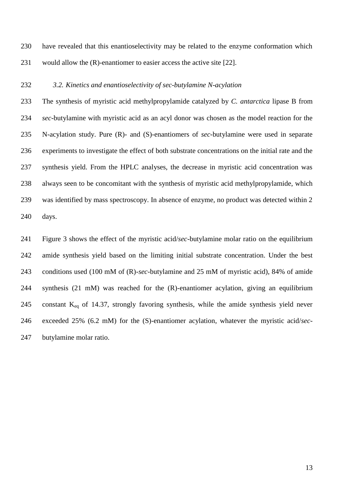have revealed that this enantioselectivity may be related to the enzyme conformation which would allow the (R)-enantiomer to easier access the active site [22].

## *3.2. Kinetics and enantioselectivity of sec-butylamine N-acylation*

 The synthesis of myristic acid methylpropylamide catalyzed by *C. antarctica* lipase B from *sec*-butylamine with myristic acid as an acyl donor was chosen as the model reaction for the N-acylation study. Pure (R)- and (S)-enantiomers of *sec*-butylamine were used in separate experiments to investigate the effect of both substrate concentrations on the initial rate and the synthesis yield. From the HPLC analyses, the decrease in myristic acid concentration was always seen to be concomitant with the synthesis of myristic acid methylpropylamide, which was identified by mass spectroscopy. In absence of enzyme, no product was detected within 2 days.

 Figure 3 shows the effect of the myristic acid/*sec*-butylamine molar ratio on the equilibrium amide synthesis yield based on the limiting initial substrate concentration. Under the best conditions used (100 mM of (R)-*sec*-butylamine and 25 mM of myristic acid), 84% of amide synthesis (21 mM) was reached for the (R)-enantiomer acylation, giving an equilibrium 245 constant  $K_{eq}$  of 14.37, strongly favoring synthesis, while the amide synthesis yield never exceeded 25% (6.2 mM) for the (S)-enantiomer acylation, whatever the myristic acid/*sec*-butylamine molar ratio.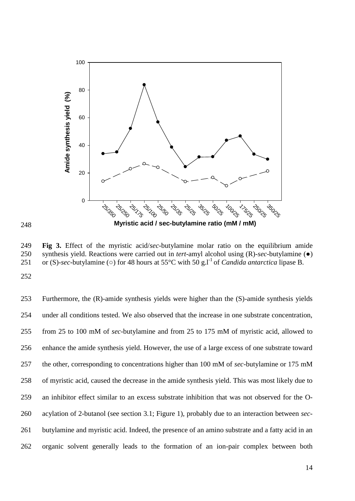

249 **Fig 3.** Effect of the myristic acid/*sec*-butylamine molar ratio on the equilibrium amide 250 synthesis yield. Reactions were carried out in *tert*-amyl alcohol using (R)-*sec*-butylamine (●) 251 or (S)-sec-butylamine ( $\circ$ ) for 48 hours at 55<sup>o</sup>C with 50 g.l<sup>-1</sup> of *Candida antarctica* lipase B.

252

248

 Furthermore, the (R)-amide synthesis yields were higher than the (S)-amide synthesis yields under all conditions tested. We also observed that the increase in one substrate concentration, from 25 to 100 mM of *sec*-butylamine and from 25 to 175 mM of myristic acid, allowed to enhance the amide synthesis yield. However, the use of a large excess of one substrate toward the other, corresponding to concentrations higher than 100 mM of *sec*-butylamine or 175 mM of myristic acid, caused the decrease in the amide synthesis yield. This was most likely due to an inhibitor effect similar to an excess substrate inhibition that was not observed for the O- acylation of 2-butanol (see section 3.1; Figure 1), probably due to an interaction between *sec*- butylamine and myristic acid. Indeed, the presence of an amino substrate and a fatty acid in an organic solvent generally leads to the formation of an ion-pair complex between both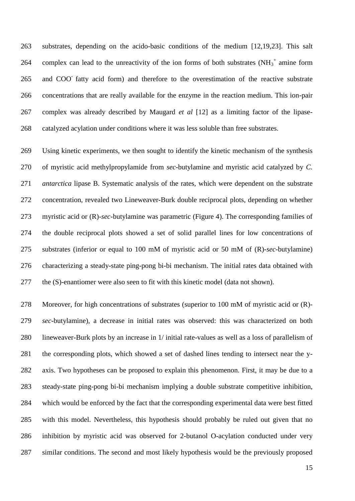substrates, depending on the acido-basic conditions of the medium [12,19,23]. This salt 264 complex can lead to the unreactivity of the ion forms of both substrates  $(NH_3^+$  amine form 265 and COO fatty acid form) and therefore to the overestimation of the reactive substrate concentrations that are really available for the enzyme in the reaction medium. This ion-pair complex was already described by Maugard *et al* [12] as a limiting factor of the lipase-catalyzed acylation under conditions where it was less soluble than free substrates.

 Using kinetic experiments, we then sought to identify the kinetic mechanism of the synthesis of myristic acid methylpropylamide from *sec*-butylamine and myristic acid catalyzed by *C. antarctica* lipase B. Systematic analysis of the rates, which were dependent on the substrate concentration, revealed two Lineweaver-Burk double reciprocal plots, depending on whether myristic acid or (R)-*sec*-butylamine was parametric (Figure 4). The corresponding families of the double reciprocal plots showed a set of solid parallel lines for low concentrations of substrates (inferior or equal to 100 mM of myristic acid or 50 mM of (R)-*sec*-butylamine) characterizing a steady-state ping-pong bi-bi mechanism. The initial rates data obtained with the (S)-enantiomer were also seen to fit with this kinetic model (data not shown).

 Moreover, for high concentrations of substrates (superior to 100 mM of myristic acid or (R)- *sec*-butylamine), a decrease in initial rates was observed: this was characterized on both lineweaver-Burk plots by an increase in 1/ initial rate-values as well as a loss of parallelism of the corresponding plots, which showed a set of dashed lines tending to intersect near the y- axis. Two hypotheses can be proposed to explain this phenomenon. First, it may be due to a steady-state ping-pong bi-bi mechanism implying a double substrate competitive inhibition, which would be enforced by the fact that the corresponding experimental data were best fitted with this model. Nevertheless, this hypothesis should probably be ruled out given that no inhibition by myristic acid was observed for 2-butanol O-acylation conducted under very similar conditions. The second and most likely hypothesis would be the previously proposed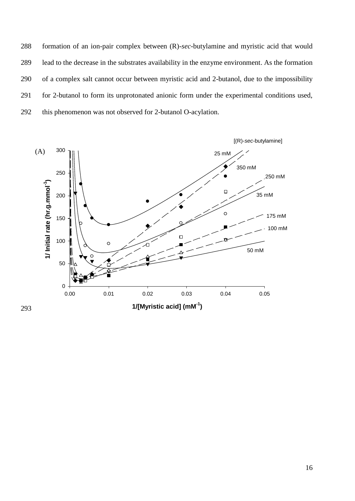formation of an ion-pair complex between (R)-*sec*-butylamine and myristic acid that would lead to the decrease in the substrates availability in the enzyme environment. As the formation of a complex salt cannot occur between myristic acid and 2-butanol, due to the impossibility for 2-butanol to form its unprotonated anionic form under the experimental conditions used, this phenomenon was not observed for 2-butanol O-acylation.

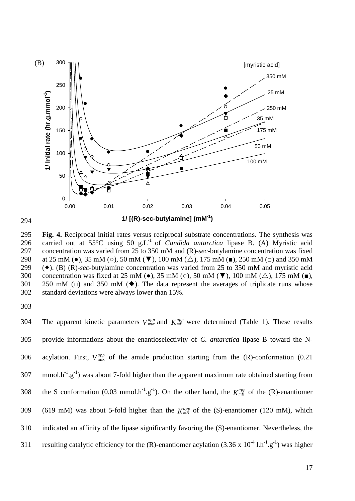

295 **Fig. 4.** Reciprocal initial rates versus reciprocal substrate concentrations. The synthesis was 296 carried out at 55 $\degree$ C using 50 g.L<sup>-1</sup> of *Candida antarctica* lipase B. (A) Myristic acid 297 concentration was varied from 25 to 350 mM and (R)-*sec*-butylamine concentration was fixed 298 at 25 mM ( $\bullet$ ), 35 mM ( $\circ$ ), 50 mM ( $\nabla$ ), 100 mM ( $\triangle$ ), 175 mM ( $\blacksquare$ ), 250 mM ( $\Box$ ) and 350 mM 299 (). (B) (R)-*sec*-butylamine concentration was varied from 25 to 350 mM and myristic acid 300 concentration was fixed at 25 mM ( $\bullet$ ), 35 mM ( $\circ$ ), 50 mM ( $\nabla$ ), 100 mM ( $\triangle$ ), 175 mM ( $\blacksquare$ ), 301 250 mM ( $\Box$ ) and 350 mM ( $\blacklozenge$ ). The data represent the averages of triplicate runs whose 302 standard deviations were always lower than 15%.

303

The apparent kinetic parameters  $V_{\text{max}}^{app}$  and  $K_{mB}^{app}$  were determined (Table 1). These results 304 305 provide informations about the enantioselectivity of *C. antarctica* lipase B toward the Nacylation. First,  $V_{\text{max}}^{app}$  of the amide production starting from the (R)-conformation (0.21 306 307 mmol.h<sup>-1</sup>.g<sup>-1</sup>) was about 7-fold higher than the apparent maximum rate obtained starting from the S conformation (0.03 mmol.h<sup>-1</sup>.g<sup>-1</sup>). On the other hand, the  $K_{m}^{app}$  of the (R)-enantiomer 308 (619 mM) was about 5-fold higher than the  $K_{mB}^{app}$  of the (S)-enantiomer (120 mM), which 309 310 indicated an affinity of the lipase significantly favoring the (S)-enantiomer. Nevertheless, the 311 resulting catalytic efficiency for the (R)-enantiomer acylation  $(3.36 \times 10^{-4} \text{ l.h}^{-1} \text{ g}^{-1})$  was higher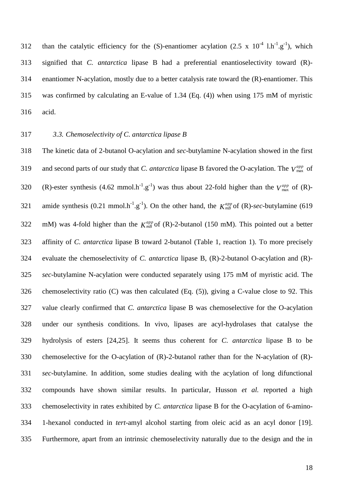312 than the catalytic efficiency for the (S)-enantiomer acylation (2.5 x  $10^{-4}$  l.h<sup>-1</sup>.g<sup>-1</sup>), which signified that *C. antarctica* lipase B had a preferential enantioselectivity toward (R)- enantiomer N-acylation, mostly due to a better catalysis rate toward the (R)-enantiomer. This was confirmed by calculating an E-value of 1.34 (Eq. (4)) when using 175 mM of myristic acid.

## *3.3. Chemoselectivity of C. antarctica lipase B*

 The kinetic data of 2-butanol O-acylation and *sec*-butylamine N-acylation showed in the first and second parts of our study that *C. antarctica* lipase B favored the O-acylation. The  $V_{\text{max}}^{app}$  of (R)-ester synthesis (4.62 mmol.h<sup>-1</sup>.g<sup>-1</sup>) was thus about 22-fold higher than the  $V_{\text{max}}^{app}$  of (R)- amide synthesis (0.21 mmol.h<sup>-1</sup>.g<sup>-1</sup>). On the other hand, the  $K_{m}^{app}$  of (R)-*sec*-butylamine (619 mM) was 4-fold higher than the  $K_{mB}^{app}$  of (R)-2-butanol (150 mM). This pointed out a better affinity of *C. antarctica* lipase B toward 2-butanol (Table 1, reaction 1). To more precisely evaluate the chemoselectivity of *C. antarctica* lipase B, (R)-2-butanol O-acylation and (R)- *sec*-butylamine N-acylation were conducted separately using 175 mM of myristic acid. The chemoselectivity ratio (C) was then calculated (Eq. (5)), giving a C-value close to 92. This value clearly confirmed that *C. antarctica* lipase B was chemoselective for the O-acylation under our synthesis conditions. In vivo, lipases are acyl-hydrolases that catalyse the hydrolysis of esters [24,25]. It seems thus coherent for *C. antarctica* lipase B to be chemoselective for the O-acylation of (R)-2-butanol rather than for the N-acylation of (R)- *sec*-butylamine. In addition, some studies dealing with the acylation of long difunctional compounds have shown similar results. In particular, Husson *et al.* reported a high chemoselectivity in rates exhibited by *C. antarctica* lipase B for the O-acylation of 6-amino- 1-hexanol conducted in *tert*-amyl alcohol starting from oleic acid as an acyl donor [19]. Furthermore, apart from an intrinsic chemoselectivity naturally due to the design and the in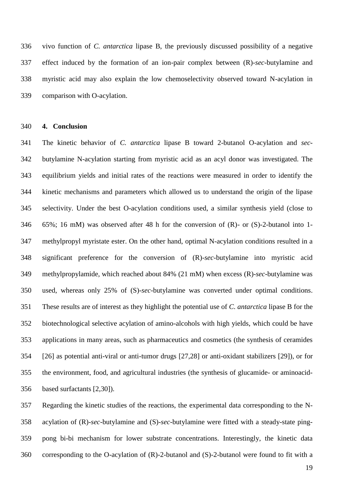vivo function of *C. antarctica* lipase B, the previously discussed possibility of a negative effect induced by the formation of an ion-pair complex between (R)-*sec*-butylamine and myristic acid may also explain the low chemoselectivity observed toward N-acylation in comparison with O-acylation.

**4. Conclusion**

 The kinetic behavior of *C. antarctica* lipase B toward 2-butanol O-acylation and *sec*- butylamine N-acylation starting from myristic acid as an acyl donor was investigated. The equilibrium yields and initial rates of the reactions were measured in order to identify the kinetic mechanisms and parameters which allowed us to understand the origin of the lipase selectivity. Under the best O-acylation conditions used, a similar synthesis yield (close to 65%; 16 mM) was observed after 48 h for the conversion of (R)- or (S)-2-butanol into 1- methylpropyl myristate ester. On the other hand, optimal N-acylation conditions resulted in a significant preference for the conversion of (R)-*sec*-butylamine into myristic acid methylpropylamide, which reached about 84% (21 mM) when excess (R)-*sec*-butylamine was used, whereas only 25% of (S)-*sec*-butylamine was converted under optimal conditions. These results are of interest as they highlight the potential use of *C. antarctica* lipase B for the biotechnological selective acylation of amino-alcohols with high yields, which could be have applications in many areas, such as pharmaceutics and cosmetics (the synthesis of ceramides [26] as potential anti-viral or anti-tumor drugs [27,28] or anti-oxidant stabilizers [29]), or for the environment, food, and agricultural industries (the synthesis of glucamide- or aminoacid-based surfactants [2,30]).

 Regarding the kinetic studies of the reactions, the experimental data corresponding to the N- acylation of (R)-*sec*-butylamine and (S)-*sec*-butylamine were fitted with a steady-state ping- pong bi-bi mechanism for lower substrate concentrations. Interestingly, the kinetic data corresponding to the O-acylation of (R)-2-butanol and (S)-2-butanol were found to fit with a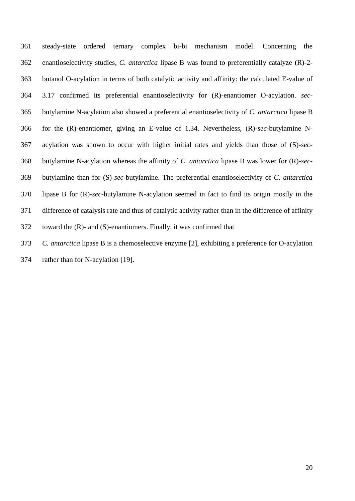steady-state ordered ternary complex bi-bi mechanism model. Concerning the enantioselectivity studies, *C. antarctica* lipase B was found to preferentially catalyze (R)-2- butanol O-acylation in terms of both catalytic activity and affinity: the calculated E-value of 3.17 confirmed its preferential enantioselectivity for (R)-enantiomer O-acylation. *sec*- butylamine N-acylation also showed a preferential enantioselectivity of *C. antarctica* lipase B for the (R)-enantiomer, giving an E-value of 1.34. Nevertheless, (R)-*sec*-butylamine N- acylation was shown to occur with higher initial rates and yields than those of (S)-*sec*- butylamine N-acylation whereas the affinity of *C. antarctica* lipase B was lower for (R)-*sec*- butylamine than for (S)-*sec*-butylamine. The preferential enantioselectivity of *C. antarctica* lipase B for (R)-*sec*-butylamine N-acylation seemed in fact to find its origin mostly in the difference of catalysis rate and thus of catalytic activity rather than in the difference of affinity toward the (R)- and (S)-enantiomers. Finally, it was confirmed that

*C. antarctica* lipase B is a chemoselective enzyme [2], exhibiting a preference for O-acylation

rather than for N-acylation [19].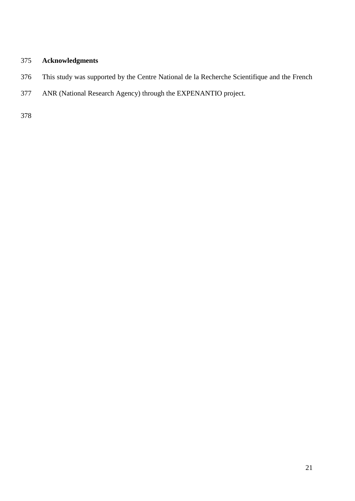## **Acknowledgments**

- This study was supported by the Centre National de la Recherche Scientifique and the French
- ANR (National Research Agency) through the EXPENANTIO project.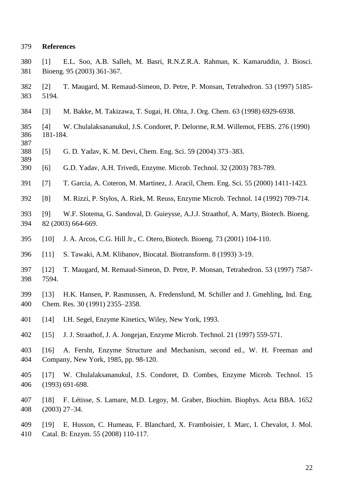#### **References**

- [1] E.L. Soo, A.B. Salleh, M. Basri, R.N.Z.R.A. Rahman, K. Kamaruddin, J. Biosci. Bioeng. 95 (2003) 361-367.
- [2] T. Maugard, M. Remaud-Simeon, D. Petre, P. Monsan, Tetrahedron. 53 (1997) 5185- 5194.
- [3] M. Bakke, M. Takizawa, T. Sugai, H. Ohta, J. Org. Chem. 63 (1998) 6929-6938.
- [4] W. Chulalaksananukul, J.S. Condoret, P. Delorme, R.M. Willemot, FEBS. 276 (1990) 181-184.
- [5] G. D. Yadav, K. M. Devi, Chem. Eng. Sci. 59 (2004) 373–383.
- [6] G.D. Yadav, A.H. Trivedi, Enzyme. Microb. Technol. 32 (2003) 783-789.
- [7] T. Garcia, A. Coteron, M. Martinez, J. Aracil, Chem. Eng. Sci. 55 (2000) 1411-1423.
- [8] M. Rizzi, P. Stylos, A. Riek, M. Reuss, Enzyme Microb. Technol. 14 (1992) 709-714.
- [9] W.F. Slotema, G. Sandoval, D. Guieysse, A.J.J. Straathof, A. Marty, Biotech. Bioeng. 82 (2003) 664-669.
- [10] J. A. Arcos, C.G. Hill Jr., C. Otero, Biotech. Bioeng. 73 (2001) 104-110.
- [11] S. Tawaki, A.M. Klibanov, Biocatal. Biotransform. 8 (1993) 3-19.
- [12] T. Maugard, M. Remaud-Simeon, D. Petre, P. Monsan, Tetrahedron. 53 (1997) 7587- 7594.
- [13] H.K. Hansen, P. Rasmussen, A. Fredenslund, M. Schiller and J. Gmehling, Ind. Eng. Chem. Res. 30 (1991) 2355–2358.
- [14] I.H. Segel, Enzyme Kinetics, Wiley, New York, 1993.
- [15] J. J. Straathof, J. A. Jongejan, Enzyme Microb. Technol. 21 (1997) 559-571.
- [16] A. Fersht, Enzyme Structure and Mechanism, second ed., W. H. Freeman and Company, New York, 1985, pp. 98-120.
- [17] W. Chulalaksananukul, J.S. Condoret, D. Combes, Enzyme Microb. Technol. 15 (1993) 691-698.
- [18] F. Létisse, S. Lamare, M.D. Legoy, M. Graber, Biochim. Biophys. Acta BBA. 1652 (2003) 27–34.
- [19] E. Husson, C. Humeau, F. Blanchard, X. Framboisier, I. Marc, I. Chevalot, J. Mol. Catal. B: Enzym. 55 (2008) 110-117.